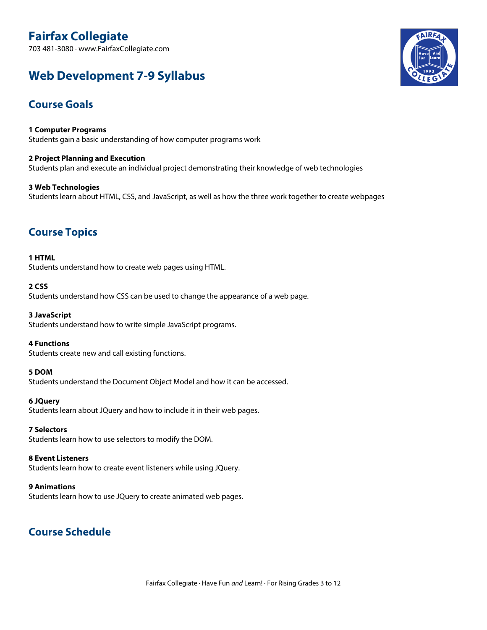# **Fairfax Collegiate**

703 481-3080 · www.FairfaxCollegiate.com

# **Web Development 7-9 Syllabus**



# **Course Goals**

**1 Computer Programs** Students gain a basic understanding of how computer programs work

**2 Project Planning and Execution** Students plan and execute an individual project demonstrating their knowledge of web technologies

**3 Web Technologies** Students learn about HTML, CSS, and JavaScript, as well as how the three work together to create webpages

# **Course Topics**

**1 HTML** Students understand how to create web pages using HTML.

#### **2 CSS**

Students understand how CSS can be used to change the appearance of a web page.

**3 JavaScript** Students understand how to write simple JavaScript programs.

**4 Functions** Students create new and call existing functions.

#### **5 DOM**

Students understand the Document Object Model and how it can be accessed.

#### **6 JQuery**

Students learn about JQuery and how to include it in their web pages.

#### **7 Selectors**

Students learn how to use selectors to modify the DOM.

#### **8 Event Listeners**

Students learn how to create event listeners while using JQuery.

#### **9 Animations**

Students learn how to use JQuery to create animated web pages.

# **Course Schedule**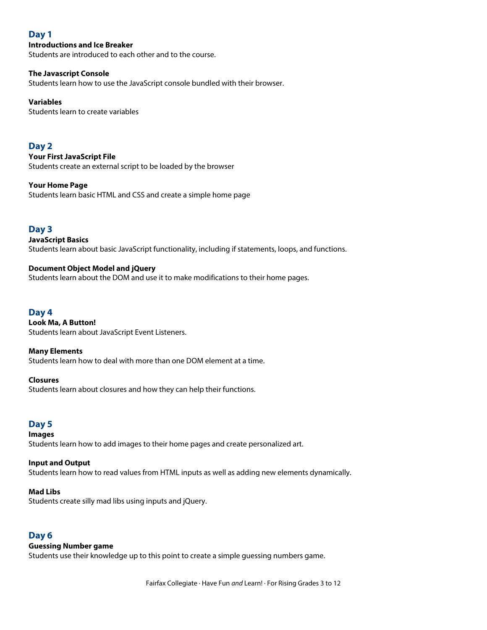# **Day 1**

#### **Introductions and Ice Breaker**

Students are introduced to each other and to the course.

#### **The Javascript Console**

Students learn how to use the JavaScript console bundled with their browser.

#### **Variables**

Students learn to create variables

# **Day 2**

**Your First JavaScript File** Students create an external script to be loaded by the browser

#### **Your Home Page**

Students learn basic HTML and CSS and create a simple home page

### **Day 3**

**JavaScript Basics** Students learn about basic JavaScript functionality, including if statements, loops, and functions.

#### **Document Object Model and jQuery**

Students learn about the DOM and use it to make modifications to their home pages.

## **Day 4**

**Look Ma, A Button!** Students learn about JavaScript Event Listeners.

#### **Many Elements**

Students learn how to deal with more than one DOM element at a time.

#### **Closures**

Students learn about closures and how they can help their functions.

# **Day 5**

#### **Images**

Students learn how to add images to their home pages and create personalized art.

#### **Input and Output**

Students learn how to read values from HTML inputs as well as adding new elements dynamically.

#### **Mad Libs**

Students create silly mad libs using inputs and jQuery.

#### **Day 6**

#### **Guessing Number game**

Students use their knowledge up to this point to create a simple guessing numbers game.